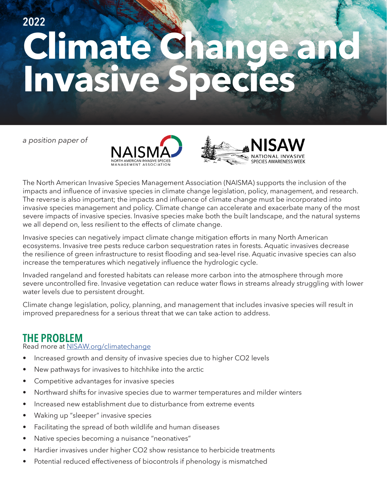# **Climate Change an Invasive Species 2022**

*a position paper of*





The North American Invasive Species Management Association (NAISMA) supports the inclusion of the impacts and influence of invasive species in climate change legislation, policy, management, and research. The reverse is also important; the impacts and influence of climate change must be incorporated into invasive species management and policy. Climate change can accelerate and exacerbate many of the most severe impacts of invasive species. Invasive species make both the built landscape, and the natural systems we all depend on, less resilient to the effects of climate change.

Invasive species can negatively impact climate change mitigation efforts in many North American ecosystems. Invasive tree pests reduce carbon sequestration rates in forests. Aquatic invasives decrease the resilience of green infrastructure to resist flooding and sea-level rise. Aquatic invasive species can also increase the temperatures which negatively influence the hydrologic cycle.

Invaded rangeland and forested habitats can release more carbon into the atmosphere through more severe uncontrolled fire. Invasive vegetation can reduce water flows in streams already struggling with lower water levels due to persistent drought.

Climate change legislation, policy, planning, and management that includes invasive species will result in improved preparedness for a serious threat that we can take action to address.

# **THE PROBLEM**

#### Read more at [NISAW.org/climatechange](http://NISAW.org/climatechange)

- Increased growth and density of invasive species due to higher CO2 levels
- New pathways for invasives to hitchhike into the arctic
- Competitive advantages for invasive species
- Northward shifts for invasive species due to warmer temperatures and milder winters
- Increased new establishment due to disturbance from extreme events
- Waking up "sleeper" invasive species
- Facilitating the spread of both wildlife and human diseases
- Native species becoming a nuisance "neonatives"
- Hardier invasives under higher CO2 show resistance to herbicide treatments
- Potential reduced effectiveness of biocontrols if phenology is mismatched